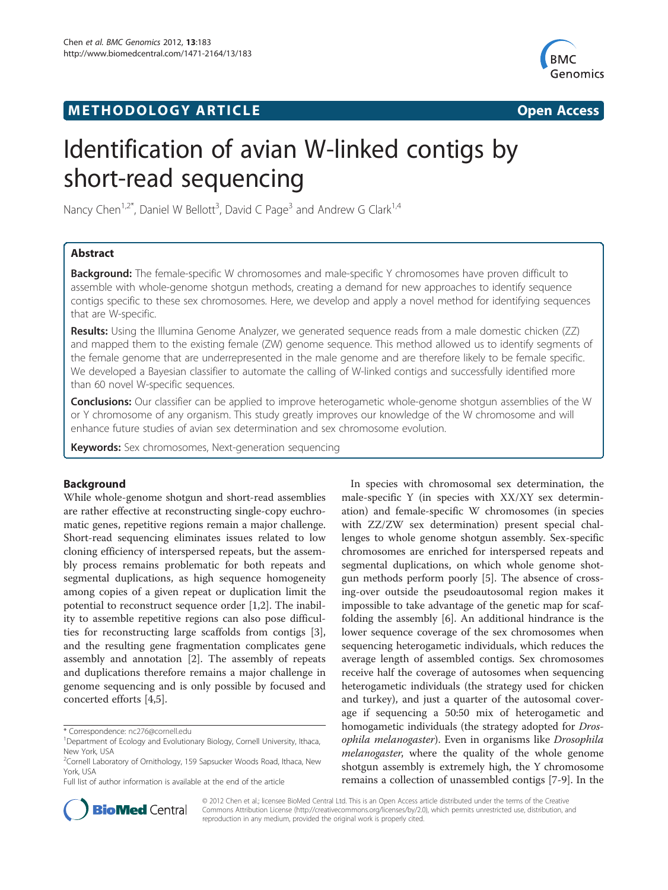## **METHODOLOGY ARTICLE CONSUMING A RESERVE ALCOHOLOGY ARTICLE**



# Identification of avian W-linked contigs by short-read sequencing

Nancy Chen<sup>1,2\*</sup>, Daniel W Bellott<sup>3</sup>, David C Page<sup>3</sup> and Andrew G Clark<sup>1,4</sup>

## Abstract

**Background:** The female-specific W chromosomes and male-specific Y chromosomes have proven difficult to assemble with whole-genome shotgun methods, creating a demand for new approaches to identify sequence contigs specific to these sex chromosomes. Here, we develop and apply a novel method for identifying sequences that are W-specific.

Results: Using the Illumina Genome Analyzer, we generated sequence reads from a male domestic chicken (ZZ) and mapped them to the existing female (ZW) genome sequence. This method allowed us to identify segments of the female genome that are underrepresented in the male genome and are therefore likely to be female specific. We developed a Bayesian classifier to automate the calling of W-linked contigs and successfully identified more than 60 novel W-specific sequences.

**Conclusions:** Our classifier can be applied to improve heterogametic whole-genome shotgun assemblies of the W or Y chromosome of any organism. This study greatly improves our knowledge of the W chromosome and will enhance future studies of avian sex determination and sex chromosome evolution.

Keywords: Sex chromosomes, Next-generation sequencing

## Background

While whole-genome shotgun and short-read assemblies are rather effective at reconstructing single-copy euchromatic genes, repetitive regions remain a major challenge. Short-read sequencing eliminates issues related to low cloning efficiency of interspersed repeats, but the assembly process remains problematic for both repeats and segmental duplications, as high sequence homogeneity among copies of a given repeat or duplication limit the potential to reconstruct sequence order [[1,2\]](#page-7-0). The inability to assemble repetitive regions can also pose difficulties for reconstructing large scaffolds from contigs [\[3](#page-7-0)], and the resulting gene fragmentation complicates gene assembly and annotation [[2\]](#page-7-0). The assembly of repeats and duplications therefore remains a major challenge in genome sequencing and is only possible by focused and concerted efforts [[4,5\]](#page-7-0).

Full list of author information is available at the end of the article

In species with chromosomal sex determination, the male-specific Y (in species with XX/XY sex determination) and female-specific W chromosomes (in species with ZZ/ZW sex determination) present special challenges to whole genome shotgun assembly. Sex-specific chromosomes are enriched for interspersed repeats and segmental duplications, on which whole genome shotgun methods perform poorly [[5\]](#page-7-0). The absence of crossing-over outside the pseudoautosomal region makes it impossible to take advantage of the genetic map for scaffolding the assembly [[6\]](#page-8-0). An additional hindrance is the lower sequence coverage of the sex chromosomes when sequencing heterogametic individuals, which reduces the average length of assembled contigs. Sex chromosomes receive half the coverage of autosomes when sequencing heterogametic individuals (the strategy used for chicken and turkey), and just a quarter of the autosomal coverage if sequencing a 50:50 mix of heterogametic and homogametic individuals (the strategy adopted for *Dros*ophila melanogaster). Even in organisms like Drosophila *melanogaster*, where the quality of the whole genome shotgun assembly is extremely high, the Y chromosome remains a collection of unassembled contigs [\[7](#page-8-0)-[9\]](#page-8-0). In the



© 2012 Chen et al.; licensee BioMed Central Ltd. This is an Open Access article distributed under the terms of the Creative Commons Attribution License [\(http://creativecommons.org/licenses/by/2.0\)](http://creativecommons.org/licenses/by/2.0), which permits unrestricted use, distribution, and reproduction in any medium, provided the original work is properly cited.

<sup>\*</sup> Correspondence: [nc276@cornell.edu](mailto:nc276@cornell.edu) <sup>1</sup>

<sup>&</sup>lt;sup>1</sup>Department of Ecology and Evolutionary Biology, Cornell University, Ithaca, New York, USA

<sup>&</sup>lt;sup>2</sup>Cornell Laboratory of Ornithology, 159 Sapsucker Woods Road, Ithaca, New York, USA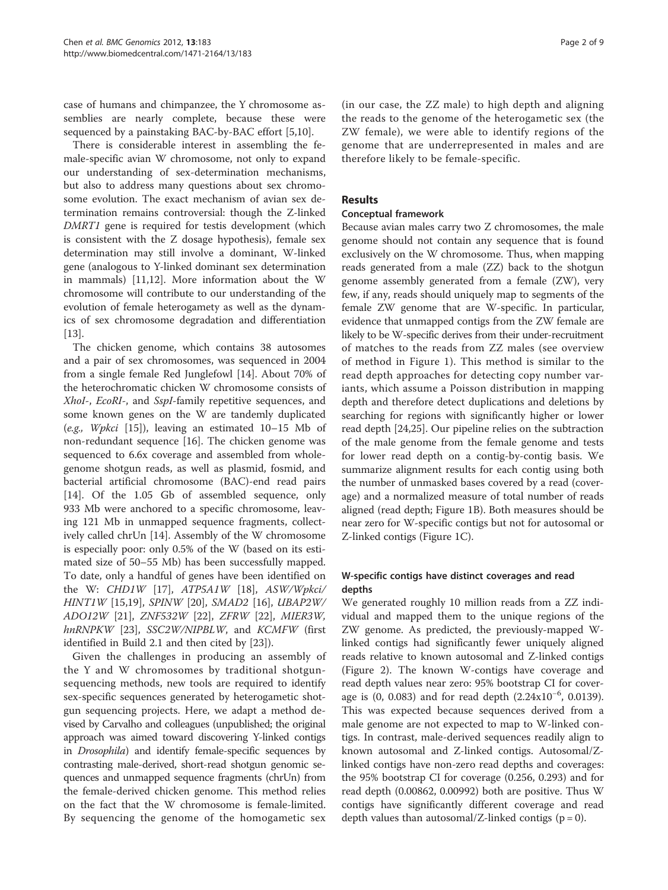case of humans and chimpanzee, the Y chromosome assemblies are nearly complete, because these were sequenced by a painstaking BAC-by-BAC effort [[5,](#page-7-0)[10\]](#page-8-0).

There is considerable interest in assembling the female-specific avian W chromosome, not only to expand our understanding of sex-determination mechanisms, but also to address many questions about sex chromosome evolution. The exact mechanism of avian sex determination remains controversial: though the Z-linked DMRT1 gene is required for testis development (which is consistent with the Z dosage hypothesis), female sex determination may still involve a dominant, W-linked gene (analogous to Y-linked dominant sex determination in mammals) [[11,12\]](#page-8-0). More information about the W chromosome will contribute to our understanding of the evolution of female heterogamety as well as the dynamics of sex chromosome degradation and differentiation [[13\]](#page-8-0).

The chicken genome, which contains 38 autosomes and a pair of sex chromosomes, was sequenced in 2004 from a single female Red Junglefowl [\[14](#page-8-0)]. About 70% of the heterochromatic chicken W chromosome consists of XhoI-, EcoRI-, and SspI-family repetitive sequences, and some known genes on the W are tandemly duplicated (e.g., Wpkci [\[15](#page-8-0)]), leaving an estimated 10–15 Mb of non-redundant sequence [\[16\]](#page-8-0). The chicken genome was sequenced to 6.6x coverage and assembled from wholegenome shotgun reads, as well as plasmid, fosmid, and bacterial artificial chromosome (BAC)-end read pairs [[14\]](#page-8-0). Of the 1.05 Gb of assembled sequence, only 933 Mb were anchored to a specific chromosome, leaving 121 Mb in unmapped sequence fragments, collectively called chrUn [[14\]](#page-8-0). Assembly of the W chromosome is especially poor: only 0.5% of the W (based on its estimated size of 50–55 Mb) has been successfully mapped. To date, only a handful of genes have been identified on the W:  $CHDIW$  [[17\]](#page-8-0),  $ATP5AIW$  [[18\]](#page-8-0),  $ASW/Wpkci/$ HINT1W [[15,19\]](#page-8-0), SPINW [[20\]](#page-8-0), SMAD2 [[16](#page-8-0)], UBAP2W/ ADO12W [[21\]](#page-8-0), ZNF532W [[22](#page-8-0)], ZFRW [\[22](#page-8-0)], MIER3W, hnRNPKW [\[23\]](#page-8-0), SSC2W/NIPBLW, and KCMFW (first identified in Build 2.1 and then cited by [[23\]](#page-8-0)).

Given the challenges in producing an assembly of the Y and W chromosomes by traditional shotgunsequencing methods, new tools are required to identify sex-specific sequences generated by heterogametic shotgun sequencing projects. Here, we adapt a method devised by Carvalho and colleagues (unpublished; the original approach was aimed toward discovering Y-linked contigs in Drosophila) and identify female-specific sequences by contrasting male-derived, short-read shotgun genomic sequences and unmapped sequence fragments (chrUn) from the female-derived chicken genome. This method relies on the fact that the W chromosome is female-limited. By sequencing the genome of the homogametic sex

(in our case, the ZZ male) to high depth and aligning the reads to the genome of the heterogametic sex (the ZW female), we were able to identify regions of the genome that are underrepresented in males and are therefore likely to be female-specific.

## Results

#### Conceptual framework

Because avian males carry two Z chromosomes, the male genome should not contain any sequence that is found exclusively on the W chromosome. Thus, when mapping reads generated from a male (ZZ) back to the shotgun genome assembly generated from a female (ZW), very few, if any, reads should uniquely map to segments of the female ZW genome that are W-specific. In particular, evidence that unmapped contigs from the ZW female are likely to be W-specific derives from their under-recruitment of matches to the reads from ZZ males (see overview of method in Figure [1](#page-2-0)). This method is similar to the read depth approaches for detecting copy number variants, which assume a Poisson distribution in mapping depth and therefore detect duplications and deletions by searching for regions with significantly higher or lower read depth [[24](#page-8-0),[25](#page-8-0)]. Our pipeline relies on the subtraction of the male genome from the female genome and tests for lower read depth on a contig-by-contig basis. We summarize alignment results for each contig using both the number of unmasked bases covered by a read (coverage) and a normalized measure of total number of reads aligned (read depth; Figure [1](#page-2-0)B). Both measures should be near zero for W-specific contigs but not for autosomal or Z-linked contigs (Figure [1](#page-2-0)C).

## W-specific contigs have distinct coverages and read depths

We generated roughly 10 million reads from a ZZ individual and mapped them to the unique regions of the ZW genome. As predicted, the previously-mapped Wlinked contigs had significantly fewer uniquely aligned reads relative to known autosomal and Z-linked contigs (Figure [2](#page-2-0)). The known W-contigs have coverage and read depth values near zero: 95% bootstrap CI for coverage is (0, 0.083) and for read depth (2.24x10<sup>-6</sup>, 0.0139). This was expected because sequences derived from a male genome are not expected to map to W-linked contigs. In contrast, male-derived sequences readily align to known autosomal and Z-linked contigs. Autosomal/Zlinked contigs have non-zero read depths and coverages: the 95% bootstrap CI for coverage (0.256, 0.293) and for read depth (0.00862, 0.00992) both are positive. Thus W contigs have significantly different coverage and read depth values than autosomal/Z-linked contigs  $(p = 0)$ .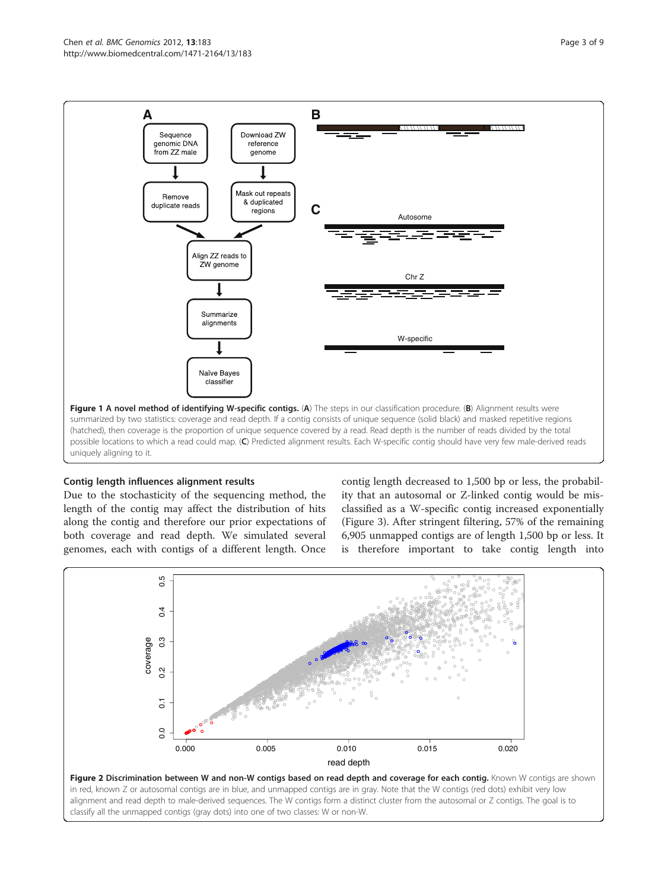<span id="page-2-0"></span>

## Contig length influences alignment results

Due to the stochasticity of the sequencing method, the length of the contig may affect the distribution of hits along the contig and therefore our prior expectations of both coverage and read depth. We simulated several genomes, each with contigs of a different length. Once

contig length decreased to 1,500 bp or less, the probability that an autosomal or Z-linked contig would be misclassified as a W-specific contig increased exponentially (Figure [3\)](#page-3-0). After stringent filtering, 57% of the remaining 6,905 unmapped contigs are of length 1,500 bp or less. It is therefore important to take contig length into

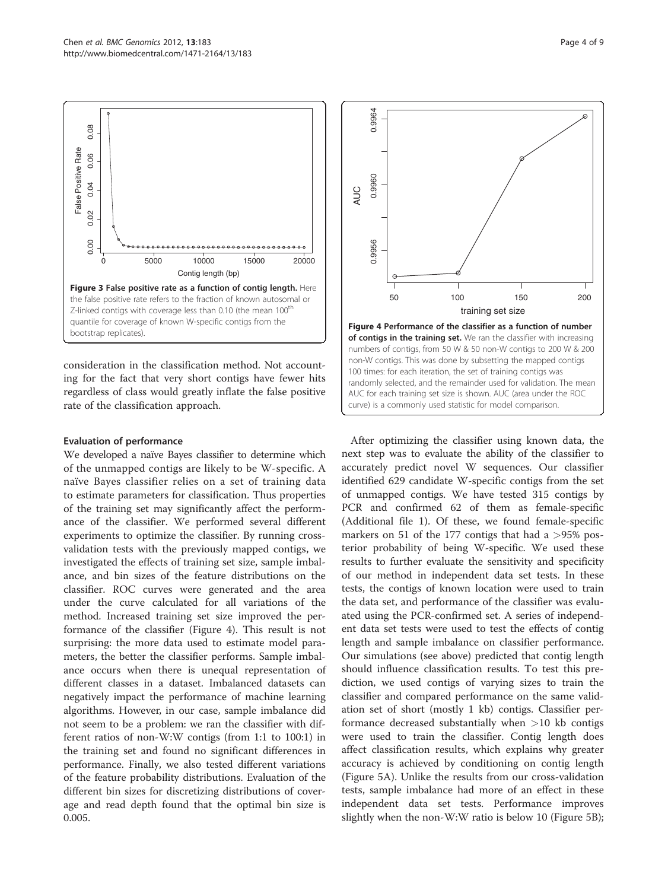<span id="page-3-0"></span>

consideration in the classification method. Not accounting for the fact that very short contigs have fewer hits regardless of class would greatly inflate the false positive rate of the classification approach.

#### Evaluation of performance

We developed a naïve Bayes classifier to determine which of the unmapped contigs are likely to be W-specific. A naïve Bayes classifier relies on a set of training data to estimate parameters for classification. Thus properties of the training set may significantly affect the performance of the classifier. We performed several different experiments to optimize the classifier. By running crossvalidation tests with the previously mapped contigs, we investigated the effects of training set size, sample imbalance, and bin sizes of the feature distributions on the classifier. ROC curves were generated and the area under the curve calculated for all variations of the method. Increased training set size improved the performance of the classifier (Figure 4). This result is not surprising: the more data used to estimate model parameters, the better the classifier performs. Sample imbalance occurs when there is unequal representation of different classes in a dataset. Imbalanced datasets can negatively impact the performance of machine learning algorithms. However, in our case, sample imbalance did not seem to be a problem: we ran the classifier with different ratios of non-W:W contigs (from 1:1 to 100:1) in the training set and found no significant differences in performance. Finally, we also tested different variations of the feature probability distributions. Evaluation of the different bin sizes for discretizing distributions of coverage and read depth found that the optimal bin size is 0.005.



After optimizing the classifier using known data, the next step was to evaluate the ability of the classifier to accurately predict novel W sequences. Our classifier identified 629 candidate W-specific contigs from the set of unmapped contigs. We have tested 315 contigs by PCR and confirmed 62 of them as female-specific (Additional file [1](#page-7-0)). Of these, we found female-specific markers on 51 of the 177 contigs that had a >95% posterior probability of being W-specific. We used these results to further evaluate the sensitivity and specificity of our method in independent data set tests. In these tests, the contigs of known location were used to train the data set, and performance of the classifier was evaluated using the PCR-confirmed set. A series of independent data set tests were used to test the effects of contig length and sample imbalance on classifier performance. Our simulations (see above) predicted that contig length should influence classification results. To test this prediction, we used contigs of varying sizes to train the classifier and compared performance on the same validation set of short (mostly 1 kb) contigs. Classifier performance decreased substantially when >10 kb contigs were used to train the classifier. Contig length does affect classification results, which explains why greater accuracy is achieved by conditioning on contig length (Figure [5A](#page-4-0)). Unlike the results from our cross-validation tests, sample imbalance had more of an effect in these independent data set tests. Performance improves slightly when the non-W:W ratio is below 10 (Figure [5](#page-4-0)B);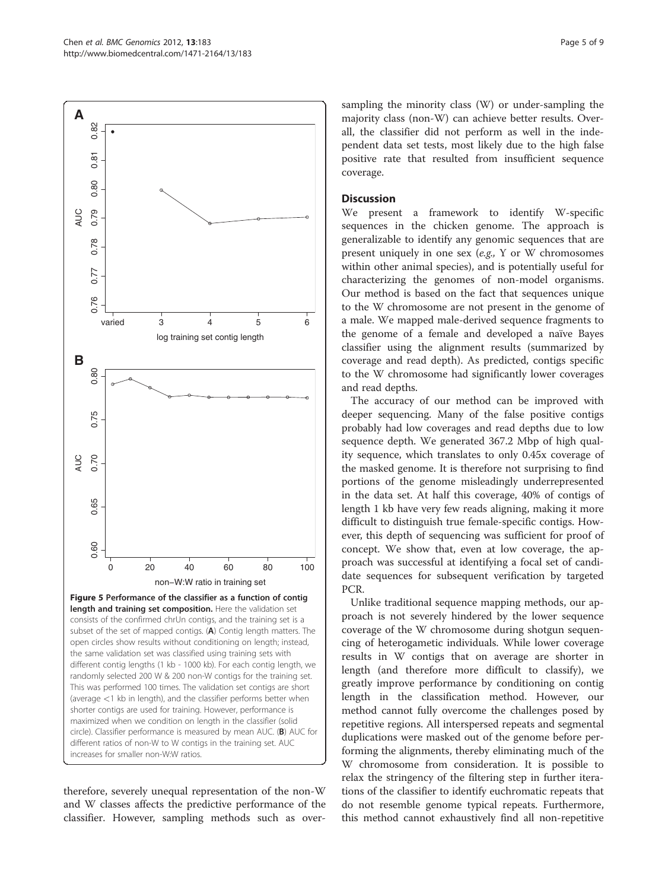<span id="page-4-0"></span>

therefore, severely unequal representation of the non-W and W classes affects the predictive performance of the classifier. However, sampling methods such as oversampling the minority class (W) or under-sampling the majority class (non-W) can achieve better results. Overall, the classifier did not perform as well in the independent data set tests, most likely due to the high false positive rate that resulted from insufficient sequence coverage.

## **Discussion**

We present a framework to identify W-specific sequences in the chicken genome. The approach is generalizable to identify any genomic sequences that are present uniquely in one sex (e.g., Y or W chromosomes within other animal species), and is potentially useful for characterizing the genomes of non-model organisms. Our method is based on the fact that sequences unique to the W chromosome are not present in the genome of a male. We mapped male-derived sequence fragments to the genome of a female and developed a naïve Bayes classifier using the alignment results (summarized by coverage and read depth). As predicted, contigs specific to the W chromosome had significantly lower coverages and read depths.

The accuracy of our method can be improved with deeper sequencing. Many of the false positive contigs probably had low coverages and read depths due to low sequence depth. We generated 367.2 Mbp of high quality sequence, which translates to only 0.45x coverage of the masked genome. It is therefore not surprising to find portions of the genome misleadingly underrepresented in the data set. At half this coverage, 40% of contigs of length 1 kb have very few reads aligning, making it more difficult to distinguish true female-specific contigs. However, this depth of sequencing was sufficient for proof of concept. We show that, even at low coverage, the approach was successful at identifying a focal set of candidate sequences for subsequent verification by targeted PCR.

Unlike traditional sequence mapping methods, our approach is not severely hindered by the lower sequence coverage of the W chromosome during shotgun sequencing of heterogametic individuals. While lower coverage results in W contigs that on average are shorter in length (and therefore more difficult to classify), we greatly improve performance by conditioning on contig length in the classification method. However, our method cannot fully overcome the challenges posed by repetitive regions. All interspersed repeats and segmental duplications were masked out of the genome before performing the alignments, thereby eliminating much of the W chromosome from consideration. It is possible to relax the stringency of the filtering step in further iterations of the classifier to identify euchromatic repeats that do not resemble genome typical repeats. Furthermore, this method cannot exhaustively find all non-repetitive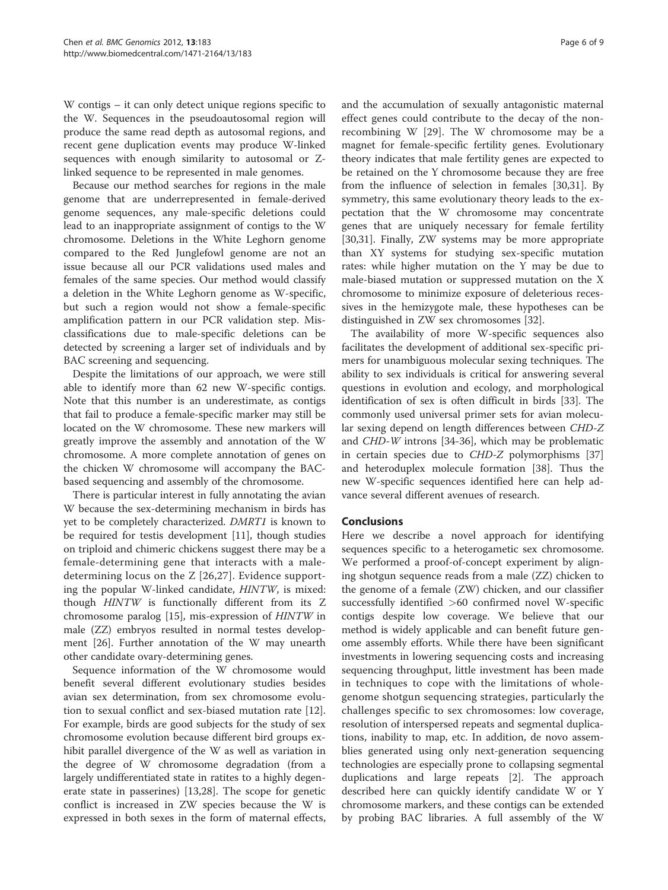W contigs – it can only detect unique regions specific to the W. Sequences in the pseudoautosomal region will produce the same read depth as autosomal regions, and recent gene duplication events may produce W-linked sequences with enough similarity to autosomal or Zlinked sequence to be represented in male genomes.

Because our method searches for regions in the male genome that are underrepresented in female-derived genome sequences, any male-specific deletions could lead to an inappropriate assignment of contigs to the W chromosome. Deletions in the White Leghorn genome compared to the Red Junglefowl genome are not an issue because all our PCR validations used males and females of the same species. Our method would classify a deletion in the White Leghorn genome as W-specific, but such a region would not show a female-specific amplification pattern in our PCR validation step. Misclassifications due to male-specific deletions can be detected by screening a larger set of individuals and by BAC screening and sequencing.

Despite the limitations of our approach, we were still able to identify more than 62 new W-specific contigs. Note that this number is an underestimate, as contigs that fail to produce a female-specific marker may still be located on the W chromosome. These new markers will greatly improve the assembly and annotation of the W chromosome. A more complete annotation of genes on the chicken W chromosome will accompany the BACbased sequencing and assembly of the chromosome.

There is particular interest in fully annotating the avian W because the sex-determining mechanism in birds has yet to be completely characterized. DMRT1 is known to be required for testis development [[11\]](#page-8-0), though studies on triploid and chimeric chickens suggest there may be a female-determining gene that interacts with a maledetermining locus on the Z [[26](#page-8-0),[27\]](#page-8-0). Evidence supporting the popular W-linked candidate, HINTW, is mixed: though HINTW is functionally different from its Z chromosome paralog [\[15](#page-8-0)], mis-expression of HINTW in male (ZZ) embryos resulted in normal testes development [\[26\]](#page-8-0). Further annotation of the W may unearth other candidate ovary-determining genes.

Sequence information of the W chromosome would benefit several different evolutionary studies besides avian sex determination, from sex chromosome evolution to sexual conflict and sex-biased mutation rate [\[12](#page-8-0)]. For example, birds are good subjects for the study of sex chromosome evolution because different bird groups exhibit parallel divergence of the W as well as variation in the degree of W chromosome degradation (from a largely undifferentiated state in ratites to a highly degenerate state in passerines) [[13](#page-8-0),[28](#page-8-0)]. The scope for genetic conflict is increased in ZW species because the W is expressed in both sexes in the form of maternal effects, and the accumulation of sexually antagonistic maternal effect genes could contribute to the decay of the nonrecombining W [[29\]](#page-8-0). The W chromosome may be a magnet for female-specific fertility genes. Evolutionary theory indicates that male fertility genes are expected to be retained on the Y chromosome because they are free from the influence of selection in females [\[30,31\]](#page-8-0). By symmetry, this same evolutionary theory leads to the expectation that the W chromosome may concentrate genes that are uniquely necessary for female fertility [[30,31\]](#page-8-0). Finally, ZW systems may be more appropriate than XY systems for studying sex-specific mutation rates: while higher mutation on the Y may be due to male-biased mutation or suppressed mutation on the X chromosome to minimize exposure of deleterious recessives in the hemizygote male, these hypotheses can be

distinguished in ZW sex chromosomes [[32](#page-8-0)]. The availability of more W-specific sequences also facilitates the development of additional sex-specific primers for unambiguous molecular sexing techniques. The ability to sex individuals is critical for answering several questions in evolution and ecology, and morphological identification of sex is often difficult in birds [\[33\]](#page-8-0). The commonly used universal primer sets for avian molecular sexing depend on length differences between CHD-Z and CHD-W introns [\[34](#page-8-0)-[36\]](#page-8-0), which may be problematic in certain species due to CHD-Z polymorphisms [[37](#page-8-0)] and heteroduplex molecule formation [[38\]](#page-8-0). Thus the new W-specific sequences identified here can help advance several different avenues of research.

#### Conclusions

Here we describe a novel approach for identifying sequences specific to a heterogametic sex chromosome. We performed a proof-of-concept experiment by aligning shotgun sequence reads from a male (ZZ) chicken to the genome of a female (ZW) chicken, and our classifier successfully identified >60 confirmed novel W-specific contigs despite low coverage. We believe that our method is widely applicable and can benefit future genome assembly efforts. While there have been significant investments in lowering sequencing costs and increasing sequencing throughput, little investment has been made in techniques to cope with the limitations of wholegenome shotgun sequencing strategies, particularly the challenges specific to sex chromosomes: low coverage, resolution of interspersed repeats and segmental duplications, inability to map, etc. In addition, de novo assemblies generated using only next-generation sequencing technologies are especially prone to collapsing segmental duplications and large repeats [[2\]](#page-7-0). The approach described here can quickly identify candidate W or Y chromosome markers, and these contigs can be extended by probing BAC libraries. A full assembly of the W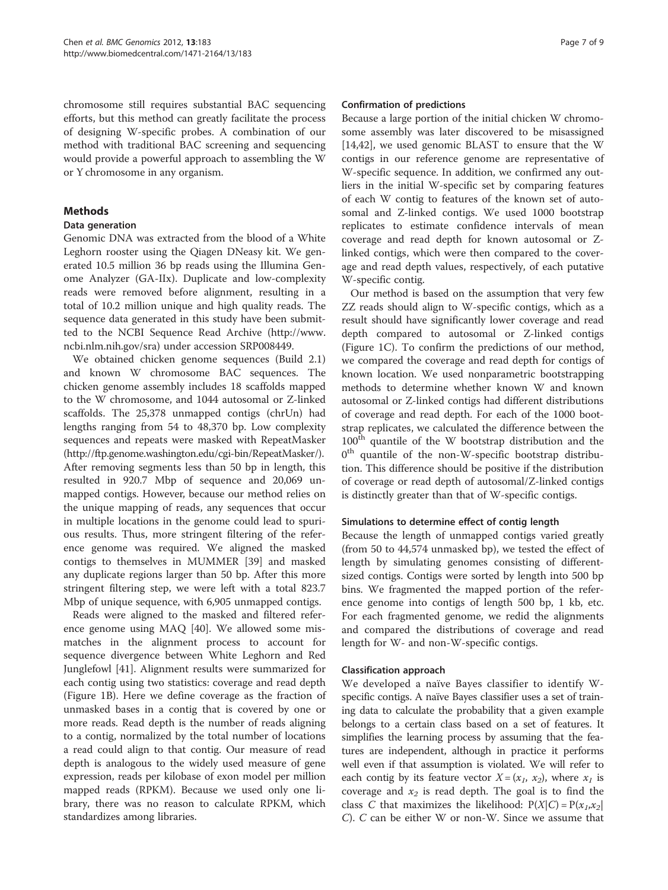chromosome still requires substantial BAC sequencing efforts, but this method can greatly facilitate the process of designing W-specific probes. A combination of our method with traditional BAC screening and sequencing would provide a powerful approach to assembling the W or Y chromosome in any organism.

## Methods

## Data generation

Genomic DNA was extracted from the blood of a White Leghorn rooster using the Qiagen DNeasy kit. We generated 10.5 million 36 bp reads using the Illumina Genome Analyzer (GA-IIx). Duplicate and low-complexity reads were removed before alignment, resulting in a total of 10.2 million unique and high quality reads. The sequence data generated in this study have been submitted to the NCBI Sequence Read Archive ([http://www.](http://www.ncbi.nlm.nih.gov/sra) [ncbi.nlm.nih.gov/sra\)](http://www.ncbi.nlm.nih.gov/sra) under accession SRP008449.

We obtained chicken genome sequences (Build 2.1) and known W chromosome BAC sequences. The chicken genome assembly includes 18 scaffolds mapped to the W chromosome, and 1044 autosomal or Z-linked scaffolds. The 25,378 unmapped contigs (chrUn) had lengths ranging from 54 to 48,370 bp. Low complexity sequences and repeats were masked with RepeatMasker ([http://ftp.genome.washington.edu/cgi-bin/RepeatMasker/\)](http://ftp.genome.washington.edu/cgi-bin/RepeatMasker/). After removing segments less than 50 bp in length, this resulted in 920.7 Mbp of sequence and 20,069 unmapped contigs. However, because our method relies on the unique mapping of reads, any sequences that occur in multiple locations in the genome could lead to spurious results. Thus, more stringent filtering of the reference genome was required. We aligned the masked contigs to themselves in MUMMER [\[39](#page-8-0)] and masked any duplicate regions larger than 50 bp. After this more stringent filtering step, we were left with a total 823.7 Mbp of unique sequence, with 6,905 unmapped contigs.

Reads were aligned to the masked and filtered reference genome using MAQ [\[40](#page-8-0)]. We allowed some mismatches in the alignment process to account for sequence divergence between White Leghorn and Red Junglefowl [\[41](#page-8-0)]. Alignment results were summarized for each contig using two statistics: coverage and read depth (Figure [1B](#page-2-0)). Here we define coverage as the fraction of unmasked bases in a contig that is covered by one or more reads. Read depth is the number of reads aligning to a contig, normalized by the total number of locations a read could align to that contig. Our measure of read depth is analogous to the widely used measure of gene expression, reads per kilobase of exon model per million mapped reads (RPKM). Because we used only one library, there was no reason to calculate RPKM, which standardizes among libraries.

#### Confirmation of predictions

Because a large portion of the initial chicken W chromosome assembly was later discovered to be misassigned [[14,42\]](#page-8-0), we used genomic BLAST to ensure that the W contigs in our reference genome are representative of W-specific sequence. In addition, we confirmed any outliers in the initial W-specific set by comparing features of each W contig to features of the known set of autosomal and Z-linked contigs. We used 1000 bootstrap replicates to estimate confidence intervals of mean coverage and read depth for known autosomal or Zlinked contigs, which were then compared to the coverage and read depth values, respectively, of each putative W-specific contig.

Our method is based on the assumption that very few ZZ reads should align to W-specific contigs, which as a result should have significantly lower coverage and read depth compared to autosomal or Z-linked contigs (Figure [1](#page-2-0)C). To confirm the predictions of our method, we compared the coverage and read depth for contigs of known location. We used nonparametric bootstrapping methods to determine whether known W and known autosomal or Z-linked contigs had different distributions of coverage and read depth. For each of the 1000 bootstrap replicates, we calculated the difference between the 100<sup>th</sup> quantile of the W bootstrap distribution and the  $0<sup>th</sup>$  quantile of the non-W-specific bootstrap distribution. This difference should be positive if the distribution of coverage or read depth of autosomal/Z-linked contigs is distinctly greater than that of W-specific contigs.

#### Simulations to determine effect of contig length

Because the length of unmapped contigs varied greatly (from 50 to 44,574 unmasked bp), we tested the effect of length by simulating genomes consisting of differentsized contigs. Contigs were sorted by length into 500 bp bins. We fragmented the mapped portion of the reference genome into contigs of length 500 bp, 1 kb, etc. For each fragmented genome, we redid the alignments and compared the distributions of coverage and read length for W- and non-W-specific contigs.

#### Classification approach

We developed a naïve Bayes classifier to identify Wspecific contigs. A naïve Bayes classifier uses a set of training data to calculate the probability that a given example belongs to a certain class based on a set of features. It simplifies the learning process by assuming that the features are independent, although in practice it performs well even if that assumption is violated. We will refer to each contig by its feature vector  $X = (x_1, x_2)$ , where  $x_1$  is coverage and  $x_2$  is read depth. The goal is to find the class C that maximizes the likelihood:  $P(X|C) = P(x_1,x_2|$ C). C can be either W or non-W. Since we assume that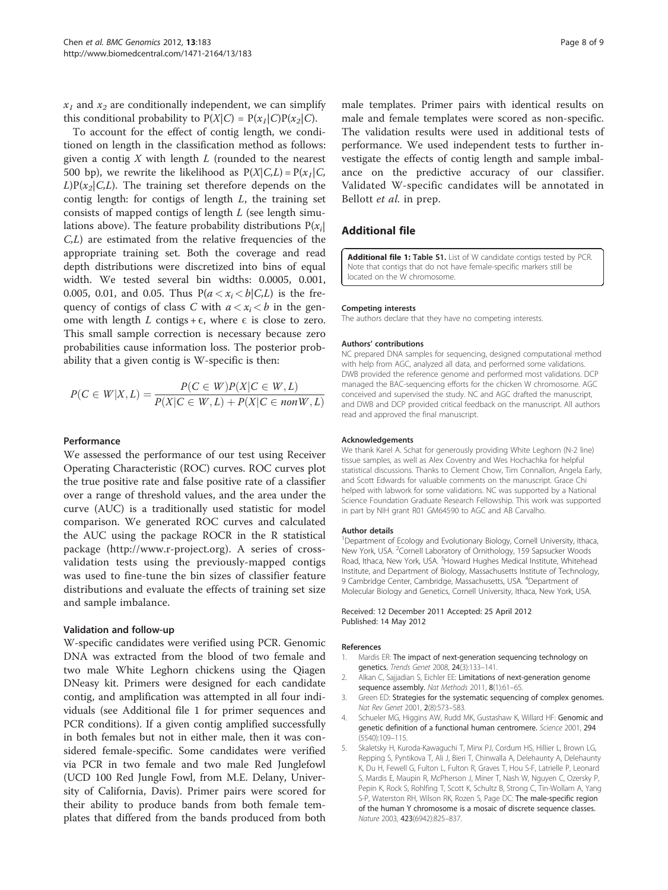<span id="page-7-0"></span> $x_1$  and  $x_2$  are conditionally independent, we can simplify this conditional probability to  $P(X|C) = P(x_1|C)P(x_2|C)$ .

To account for the effect of contig length, we conditioned on length in the classification method as follows: given a contig  $X$  with length  $L$  (rounded to the nearest 500 bp), we rewrite the likelihood as  $P(X|C,L) = P(x_1|C,$  $L$ )P( $x_2$ |C,L). The training set therefore depends on the contig length: for contigs of length  $L$ , the training set consists of mapped contigs of length  $L$  (see length simulations above). The feature probability distributions  $P(x_i)$  $C<sub>i</sub>L$ ) are estimated from the relative frequencies of the appropriate training set. Both the coverage and read depth distributions were discretized into bins of equal width. We tested several bin widths: 0.0005, 0.001, 0.005, 0.01, and 0.05. Thus  $P(a \lt x_i \lt b | C, L)$  is the frequency of contigs of class C with  $a < x_i < b$  in the genome with length  $L$  contigs +  $\epsilon$ , where  $\epsilon$  is close to zero. This small sample correction is necessary because zero probabilities cause information loss. The posterior probability that a given contig is W-specific is then:

$$
P(C \in W | X, L) = \frac{P(C \in W)P(X | C \in W, L)}{P(X | C \in W, L) + P(X | C \in nonW, L)}
$$

#### Performance

We assessed the performance of our test using Receiver Operating Characteristic (ROC) curves. ROC curves plot the true positive rate and false positive rate of a classifier over a range of threshold values, and the area under the curve (AUC) is a traditionally used statistic for model comparison. We generated ROC curves and calculated the AUC using the package ROCR in the R statistical package [\(http://www.r-project.org\)](http://www.r-project.org). A series of crossvalidation tests using the previously-mapped contigs was used to fine-tune the bin sizes of classifier feature distributions and evaluate the effects of training set size and sample imbalance.

#### Validation and follow-up

W-specific candidates were verified using PCR. Genomic DNA was extracted from the blood of two female and two male White Leghorn chickens using the Qiagen DNeasy kit. Primers were designed for each candidate contig, and amplification was attempted in all four individuals (see Additional file 1 for primer sequences and PCR conditions). If a given contig amplified successfully in both females but not in either male, then it was considered female-specific. Some candidates were verified via PCR in two female and two male Red Junglefowl (UCD 100 Red Jungle Fowl, from M.E. Delany, University of California, Davis). Primer pairs were scored for their ability to produce bands from both female templates that differed from the bands produced from both male templates. Primer pairs with identical results on male and female templates were scored as non-specific. The validation results were used in additional tests of performance. We used independent tests to further investigate the effects of contig length and sample imbalance on the predictive accuracy of our classifier. Validated W-specific candidates will be annotated in Bellott et al. in prep.

#### Additional file

[Additional file 1:](http://www.biomedcentral.com/content/supplementary/1471-2164-13-183-S1.pdf) Table S1. List of W candidate contigs tested by PCR. Note that contigs that do not have female-specific markers still be located on the W chromosome.

#### Competing interests

The authors declare that they have no competing interests.

#### Authors' contributions

NC prepared DNA samples for sequencing, designed computational method with help from AGC, analyzed all data, and performed some validations. DWB provided the reference genome and performed most validations. DCP managed the BAC-sequencing efforts for the chicken W chromosome. AGC conceived and supervised the study. NC and AGC drafted the manuscript, and DWB and DCP provided critical feedback on the manuscript. All authors read and approved the final manuscript.

#### Acknowledgements

We thank Karel A. Schat for generously providing White Leghorn (N-2 line) tissue samples, as well as Alex Coventry and Wes Hochachka for helpful statistical discussions. Thanks to Clement Chow, Tim Connallon, Angela Early, and Scott Edwards for valuable comments on the manuscript. Grace Chi helped with labwork for some validations. NC was supported by a National Science Foundation Graduate Research Fellowship. This work was supported in part by NIH grant R01 GM64590 to AGC and AB Carvalho.

#### Author details

<sup>1</sup>Department of Ecology and Evolutionary Biology, Cornell University, Ithaca New York, USA. <sup>2</sup>Cornell Laboratory of Ornithology, 159 Sapsucker Woods Road, Ithaca, New York, USA. <sup>3</sup> Howard Hughes Medical Institute, Whitehead Institute, and Department of Biology, Massachusetts Institute of Technology, 9 Cambridge Center, Cambridge, Massachusetts, USA. <sup>4</sup>Department of Molecular Biology and Genetics, Cornell University, Ithaca, New York, USA.

#### Received: 12 December 2011 Accepted: 25 April 2012 Published: 14 May 2012

#### References

- 1. Mardis ER: The impact of next-generation sequencing technology on genetics. Trends Genet 2008, 24(3):133–141.
- 2. Alkan C, Sajjadian S, Eichler EE: Limitations of next-generation genome sequence assembly. Nat Methods 2011, 8(1):61-65.
- 3. Green ED: Strategies for the systematic sequencing of complex genomes. Nat Rev Genet 2001, 2(8):573–583.
- 4. Schueler MG, Higgins AW, Rudd MK, Gustashaw K, Willard HF: Genomic and genetic definition of a functional human centromere. Science 2001, 294 (5540):109–115.
- 5. Skaletsky H, Kuroda-Kawaguchi T, Minx PJ, Cordum HS, Hillier L, Brown LG, Repping S, Pyntikova T, Ali J, Bieri T, Chinwalla A, Delehaunty A, Delehaunty K, Du H, Fewell G, Fulton L, Fulton R, Graves T, Hou S-F, Latrielle P, Leonard S, Mardis E, Maupin R, McPherson J, Miner T, Nash W, Nguyen C, Ozersky P, Pepin K, Rock S, Rohlfing T, Scott K, Schultz B, Strong C, Tin-Wollam A, Yang S-P, Waterston RH, Wilson RK, Rozen S, Page DC: The male-specific region of the human Y chromosome is a mosaic of discrete sequence classes. Nature 2003, 423(6942):825–837.